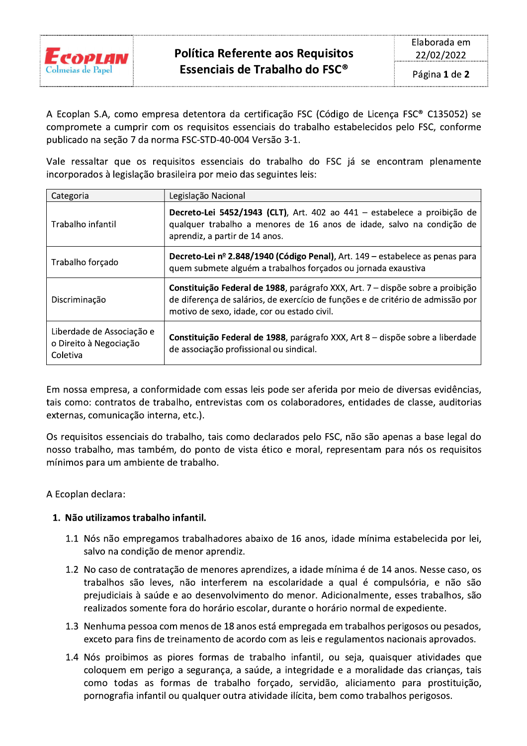

A Ecoplan S.A, como empresa detentora da certificação FSC (Código de Licença FSC® C135052) se compromete a cumprir com os requisitos essenciais do trabalho estabelecidos pelo FSC, conforme publicado na seção 7 da norma FSC-STD-40-004 Versão 3-1.

Vale ressaltar que os requisitos essenciais do trabalho do FSC já se encontram plenamente incorporados à legislação brasileira por meio das seguintes leis:

| Categoria                                                       | Legislação Nacional                                                                                                                                                                                              |
|-----------------------------------------------------------------|------------------------------------------------------------------------------------------------------------------------------------------------------------------------------------------------------------------|
| Trabalho infantil                                               | Decreto-Lei 5452/1943 (CLT), Art. 402 ao 441 - estabelece a proibição de<br>qualquer trabalho a menores de 16 anos de idade, salvo na condição de<br>aprendiz, a partir de 14 anos.                              |
| Trabalho forçado                                                | Decreto-Lei nº 2.848/1940 (Código Penal), Art. 149 – estabelece as penas para<br>quem submete alguém a trabalhos forçados ou jornada exaustiva                                                                   |
| Discriminação                                                   | Constituição Federal de 1988, parágrafo XXX, Art. 7 – dispõe sobre a proibição<br>de diferença de salários, de exercício de funções e de critério de admissão por<br>motivo de sexo, idade, cor ou estado civil. |
| Liberdade de Associação e<br>o Direito à Negociação<br>Coletiva | Constituição Federal de 1988, parágrafo XXX, Art 8 – dispõe sobre a liberdade<br>de associação profissional ou sindical.                                                                                         |

Em nossa empresa, a conformidade com essas leis pode ser aferida por meio de diversas evidências, tais como: contratos de trabalho, entrevistas com os colaboradores, entidades de classe, auditorias externas, comunicação interna, etc.).

Os requisitos essenciais do trabalho, tais como declarados pelo FSC, não são apenas a base legal do nosso trabalho, mas também, do ponto de vista ético e moral, representam para nós os requisitos mínimos para um ambiente de trabalho.

A Ecoplan declara:

## 1. Não utilizamos trabalho infantil.

- 1.1 Nós não empregamos trabalhadores abaixo de 16 anos, idade mínima estabelecida por lei, salvo na condição de menor aprendiz.
- 1.2 No caso de contratação de menores aprendizes, a idade mínima é de 14 anos. Nesse caso, os trabalhos são leves, não interferem na escolaridade a qual é compulsória, e não são prejudiciais à saúde e ao desenvolvimento do menor. Adicionalmente, esses trabalhos, são realizados somente fora do horário escolar, durante o horário normal de expediente.
- 1.3 Nenhuma pessoa com menos de 18 anos está empregada em trabalhos perigosos ou pesados, exceto para fins de treinamento de acordo com as leis e regulamentos nacionais aprovados.
- 1.4 Nós proibimos as piores formas de trabalho infantil, ou seja, quaisquer atividades que coloquem em perigo a segurança, a saúde, a integridade e a moralidade das crianças, tais como todas as formas de trabalho forçado, servidão, aliciamento para prostituição, pornografia infantil ou qualquer outra atividade ilícita, bem como trabalhos perigosos.